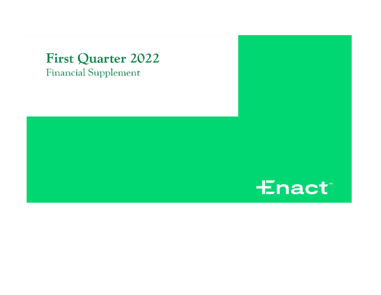# **First Quarter 2022 Financial Supplement**

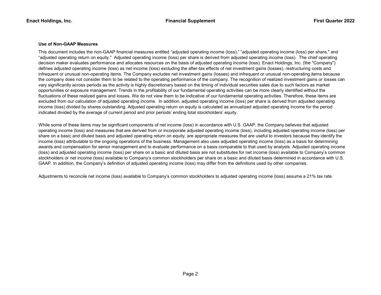# Use of Non-GAAP Measures

This document includes the non-GAAP financial measures entitled "adjusted operating income (loss)," "adjusted operating income (loss) per share," and "adjusted operating return on equity." Adjusted operating income (loss) per share is derived from adjusted operating income (loss). The chief operating decision maker evaluates performance and allocates resources on the basis of adjusted operating income (loss). Enact Holdings, Inc. (the "Company") defines adjusted operating income (loss) as net income (loss) excluding the after-tax effects of net investment gains (losses), restructuring costs and infrequent or unusual non-operating items. The Company excludes net investment gains (losses) and infrequent or unusual non-operating items because the company does not consider them to be related to the operating performance of the company. The recognition of realized investment gains or losses can vary significantly across periods as the activity is highly discretionary based on the timing of individual securities sales due to such factors as market opportunities or exposure management. Trends in the profitability of our fundamental operating activities can be more clearly identified without the fluctuations of these realized gains and losses. We do not view them to be indicative of our fundamental operating activities. Therefore, these items are excluded from our calculation of adjusted operating income. In addition, adjusted operating income (loss) per share is derived from adjusted operating income (loss) divided by shares outstanding. Adjusted operating return on equity is calculated as annualized adjusted operating income for the period indicated divided by the average of current period and prior periods' ending total stockholders' equity.

While some of these items may be significant components of net income (loss) in accordance with U.S. GAAP, the Company believes that adjusted operating income (loss) and measures that are derived from or incorporate adjusted operating income (loss), including adjusted operating income (loss) per share on a basic and diluted basis and adjusted operating return on equity, are appropriate measures that are useful to investors because they identify the income (loss) attributable to the ongoing operations of the business. Management also uses adjusted operating income (loss) as a basis for determining awards and compensation for senior management and to evaluate performance on a basis comparable to that used by analysts. Adjusted operating income (loss) and adjusted operating income (loss) per share on a basic and diluted basis are not substitutes for net income (loss) available to Company's common stockholders or net income (loss) available to Company's common stockholders per share on a basic and diluted basis determined in accordance with U.S. GAAP. In addition, the Company's definition of adjusted operating income (loss) may differ from the definitions used by other companies.

Adjustments to reconcile net income (loss) available to Company's common stockholders to adjusted operating income (loss) assume a 21% tax rate.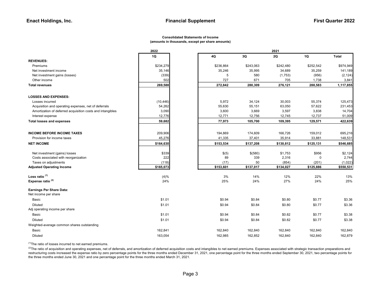#### Consolidated Statements of Income (amounts in thousands, except per share amounts)

|                                                            | 2022      |           | 2021      |           |           |              |  |  |
|------------------------------------------------------------|-----------|-----------|-----------|-----------|-----------|--------------|--|--|
|                                                            | 1Q        | 4Q        | 3Q        | 2Q        | 1Q        | <b>Total</b> |  |  |
| <b>REVENUES:</b>                                           |           |           |           |           |           |              |  |  |
| Premiums                                                   | \$234,279 | \$236,864 | \$243,063 | \$242,480 | \$252,542 | \$974,949    |  |  |
| Net investment income                                      | 35,146    | 35,246    | 35,995    | 34,689    | 35,259    | 141,189      |  |  |
| Net investment gains (losses)                              | (339)     | 5         | 580       | (1,753)   | (956)     | (2, 124)     |  |  |
| Other income                                               | 502       | 727       | 671       | 705       | 1,738     | 3,841        |  |  |
| <b>Total revenues</b>                                      | 269,588   | 272,842   | 280,309   | 276,121   | 288,583   | 1,117,855    |  |  |
| <b>LOSSES AND EXPENSES:</b>                                |           |           |           |           |           |              |  |  |
| Losses incurred                                            | (10, 446) | 5,972     | 34,124    | 30,003    | 55,374    | 125,473      |  |  |
| Acquisition and operating expenses, net of deferrals       | 54,262    | 55,630    | 55,151    | 63,050    | 57,622    | 231,453      |  |  |
| Amortization of deferred acquisition costs and intangibles | 3,090     | 3,600     | 3,669     | 3,597     | 3,838     | 14,704       |  |  |
| Interest expense                                           | 12,776    | 12,771    | 12,756    | 12,745    | 12,737    | 51,009       |  |  |
| <b>Total losses and expenses</b>                           | 59,682    | 77,973    | 105,700   | 109,395   | 129,571   | 422,639      |  |  |
| <b>INCOME BEFORE INCOME TAXES</b>                          | 209,906   | 194,869   | 174,609   | 166,726   | 159,012   | 695,216      |  |  |
| Provision for income taxes                                 | 45,276    | 41,335    | 37,401    | 35,914    | 33,881    | 148,531      |  |  |
| <b>NET INCOME</b>                                          | \$164,630 | \$153,534 | \$137,208 | \$130,812 | \$125,131 | \$546,685    |  |  |
|                                                            |           |           |           |           |           |              |  |  |
| Net investment (gains) losses                              | \$339     | \$(5)     | \$(580)   | \$1,753   | \$956     | \$2,124      |  |  |
| Costs associated with reorganization                       | 222       | 89        | 339       | 2,316     | 0         | 2,744        |  |  |
| Taxes on adjustments                                       | (118)     | (17)      | 50        | (854)     | (201)     | (1,022)      |  |  |
| <b>Adjusted Operating Income</b>                           | \$165,073 | \$153,601 | \$137,017 | \$134,027 | \$125,886 | \$550,531    |  |  |
| Loss ratio $(1)$                                           | (4)%      | 3%        | 14%       | 12%       | 22%       | 13%          |  |  |
| Expense ratio $(2)$                                        | 24%       | 25%       | 24%       | 27%       | 24%       | 25%          |  |  |
| Earnings Per Share Data:                                   |           |           |           |           |           |              |  |  |
| Net income per share                                       |           |           |           |           |           |              |  |  |
| Basic                                                      | \$1.01    | \$0.94    | \$0.84    | \$0.80    | \$0.77    | \$3.36       |  |  |
| <b>Diluted</b><br>Adj operating income per share           | \$1.01    | \$0.94    | \$0.84    | \$0.80    | \$0.77    | \$3.36       |  |  |
| Basic                                                      | \$1.01    | \$0.94    | \$0.84    | \$0.82    | \$0.77    | \$3.38       |  |  |
| <b>Diluted</b>                                             | \$1.01    | \$0.94    | \$0.84    | \$0.82    | \$0.77    | \$3.38       |  |  |
| Weighted-average common shares outstanding                 |           |           |           |           |           |              |  |  |
| Basic                                                      | 162,841   | 162,840   | 162,840   | 162,840   | 162,840   | 162,840      |  |  |
| <b>Diluted</b>                                             | 163,054   | 162,985   | 162,852   | 162,840   | 162,840   | 162,879      |  |  |

 $(1)$ The ratio of losses incurred to net earned premiums.

<sup>(2)</sup>The ratio of acquisition and operating expenses, net of deferrals, and amortization of deferred acquisition costs and intangibles to net earned premiums. Expenses associated with strategic transaction preparations and restructuring costs increased the expense ratio by zero percentage points for the three months ended December 31, 2021, one percentage point for the three months ended September 30, 2021, two percentage points for the three months ended June 30, 2021 and one percentage point for the three months ended March 31, 2021.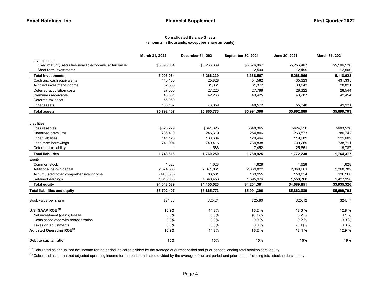### Consolidated Balance Sheets (amounts in thousands, except per share amounts)

|                                                             | March 31, 2022 | December 31, 2021 | September 30, 2021 | June 30, 2021 | March 31, 2021 |
|-------------------------------------------------------------|----------------|-------------------|--------------------|---------------|----------------|
| Investments:                                                |                |                   |                    |               |                |
| Fixed maturity securities available-for-sale, at fair value | \$5,093,084    | \$5,266,339       | \$5,376,067        | \$5,256,467   | \$5,106,128    |
| Short term investments                                      |                |                   | 12,500             | 12,499        | 12,500         |
| <b>Total investments</b>                                    | 5,093,084      | 5,266,339         | 3,388,567          | 5,268,966     | 5,118,628      |
| Cash and cash equivalents                                   | 440,160        | 425,828           | 451,582            | 435,323       | 431,335        |
| Accrued investment income                                   | 32,565         | 31,061            | 31,372             | 30,843        | 28,821         |
| Deferred acquisition costs                                  | 27,000         | 27,220            | 27,788             | 28,322        | 28,544         |
| Premiums receivable                                         | 40,381         | 42,266            | 43,425             | 43,287        | 42,454         |
| Deferred tax asset                                          | 56,060         |                   |                    |               |                |
| Other assets                                                | 103,157        | 73,059            | 48,572             | 55,348        | 49,921         |
| Total assets                                                | \$5,792,407    | \$5,865,773       | \$5,991,306        | \$5,862,089   | \$5,699,703    |
| Liabilities:                                                |                |                   |                    |               |                |
| Loss reserves                                               | \$625,279      | \$641,325         | \$648,365          | \$624,256     | \$603,528      |
| Unearned premiums                                           | 236,410        | 246,319           | 254,806            | 263,573       | 280,742        |
| <b>Other liabilities</b>                                    | 141,125        | 130,604           | 129,464            | 119,289       | 121,609        |
| Long-term borrowings                                        | 741,004        | 740,416           | 739,838            | 739,269       | 738,711        |
| Deferred tax liability                                      |                | 1,586             | 17,452             | 25,851        | 19,787         |
| <b>Total liabilities</b>                                    | 1,743,818      | 1,760,250         | 1,789,925          | 1,772,238     | 1,764,377      |
| Equity:                                                     |                |                   |                    |               |                |
| Common stock                                                | 1,628          | 1,628             | 1,628              | 1,628         | 1,628          |
| Additional paid-in capital                                  | 2,374,568      | 2,371,861         | 2,369,822          | 2,369,601     | 2,368,782      |
| Accumulated other comprehensive income                      | (140, 690)     | 83,581            | 133,955            | 159,854       | 136,960        |
| Retained earnings                                           | 1,813,083      | 1,648,453         | 1,695,976          | 1,558,768     | 1,427,956      |
| <b>Total equity</b>                                         | \$4,048,589    | \$4,105,523       | \$4,201,381        | \$4,089,851   | \$3,935,326    |
| <b>Total liabilities and equity</b>                         | \$5,792,407    | \$5,865,773       | \$5,991,306        | \$5,862,089   | \$5,699,703    |
| Book value per share                                        | \$24.86        | \$25.21           | \$25.80            | \$25.12       | \$24.17        |
| U.S. GAAP ROE <sup>(1)</sup>                                | 16.2%          | 14.8%             | 13.2 %             | 13.0%         | 12.8%          |
| Net investment (gains) losses                               | 0.0%           | 0.0%              | (0.1)%             | 0.2%          | 0.1%           |
| Costs associated with reorganization                        | 0.0%           | 0.0%              | $0.0 \%$           | 0.2%          | $0.0 \%$       |
| Taxes on adjustments                                        | 0.0%           | 0.0%              | $0.0 \%$           | (0.1)%        | $0.0 \%$       |
| Adjusted Operating ROE <sup>(2)</sup>                       | 16.2%          | 14.8%             | 13.2 %             | 13.4 %        | 12.9 %         |
| Debt to capital ratio                                       | 15%            | 15%               | 15%                | 15%           | 16%            |

<sup>(1)</sup> Calculated as annualized net income for the period indicated divided by the average of current period and prior periods' ending total stockholders' equity.

<sup>(2)</sup> Calculated as annualized adjusted operating income for the period indicated divided by the average of current period and prior periods' ending total stockholders' equity.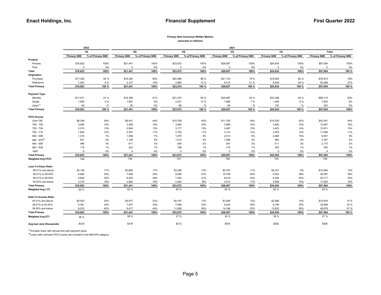## Primary New Insurance Written Metrics

(amounts in millions)

|                           |                    | 2022             |                    |                  |                    |                  |                    | 2021             |                    |                  |                    |                  |
|---------------------------|--------------------|------------------|--------------------|------------------|--------------------|------------------|--------------------|------------------|--------------------|------------------|--------------------|------------------|
|                           |                    | 1Q               |                    | 4Q               |                    | 3Q               |                    | 2Q               |                    | 1Q               |                    | Total            |
|                           | <b>Primary NIW</b> | % of Primary NIW | <b>Primary NIW</b> | % of Primary NIW | <b>Primary NIW</b> | % of Primary NIW | <b>Primary NIW</b> | % of Primary NIW | <b>Primary NIW</b> | % of Primary NIW | <b>Primary NIW</b> | % of Primary NIW |
| Product                   |                    |                  |                    |                  |                    |                  |                    |                  |                    |                  |                    |                  |
| Primary                   | \$18,823           | 100%             | \$21,441           | 100%             | \$23,972           | 100%             | \$26,657           | 100%             | \$24,934           | 100%             | \$97,004           | 100%             |
| Pool                      | $\mathbf 0$        | 0%               | 0                  | 0%               | 0                  | 0%               | $\overline{0}$     | 0%               | $\mathbf 0$        | 0%               | $^{\circ}$         | 0%               |
| Total                     | \$18,823           | 100%             | \$21,441           | 100%             | \$23,972           | 100%             | \$26,657           | 100%             | \$24,934           | 100%             | \$97,004           | 100 %            |
| Origination               |                    |                  |                    |                  |                    |                  |                    |                  |                    |                  |                    |                  |
| Purchase                  | \$17,326           | 92 %             | \$19,284           | 90%              | \$20,988           | 88 %             | \$21,143           | 79 %             | \$15,500           | 62 %             | \$76,915           | 79%              |
| Refinance                 | 1,497              | 8 %              | 2,157              | 10%              | 2,984              | 12 %             | 5,514              | 21 %             | 9,434              | 38 %             | 20,089             | 21%              |
| <b>Total Primary</b>      | \$18,823           | 100 %            | \$21,441           | 100%             | \$23,972           | 100 %            | \$26,657           | 100 %            | \$24,934           | 100 %            | \$97,004           | 100 %            |
| <b>Payment Type</b>       |                    |                  |                    |                  |                    |                  |                    |                  |                    |                  |                    |                  |
| Monthly                   | \$17,071           | 91 %             | \$19,395           | 91%              | \$21,475           | 90 %             | \$24,887           | 93 %             | \$23,358           | 94 %             | \$89,115           | 92%              |
| Single                    | 1,690              | 9 %              | 1,991              | 9%               | 2,431              | 10 %             | 1,686              | 7 %              | 1,446              | 6 %              | 7,554              | 8%               |
| Other $(1)$               | 62                 | - %              | 55                 | 0%               | 66                 | $-$ %            | 84                 | $-$ %            | 130                | $-$ %            | 335                | 0%               |
| <b>Total Primary</b>      | \$18,823           | 100 %            | \$21,441           | 100%             | \$23,972           | 100 %            | \$26,657           | 100 %            | \$24,934           | 100 %            | \$97,004           | 100%             |
| <b>FICO Scores</b>        |                    |                  |                    |                  |                    |                  |                    |                  |                    |                  |                    |                  |
| Over 760                  | \$8,359            | 45%              | \$9,401            | 44%              | \$10,708           | 45%              | \$11,762           | 44%              | \$10,520           | 42%              | \$42,391           | 44%              |
| 740 - 759                 | 3,085              | 16%              | 3,406              | 16%              | 3,830              | 16%              | 3,995              | 15%              | 3,836              | 15%              | 15,067             | 16%              |
| 720 - 739                 | 2,515              | 13%              | 2,844              | 13%              | 3,177              | 13%              | 3,467              | 13%              | 3,423              | 14%              | 12,911             | 13%              |
| 700 - 719                 | 1,952              | 10%              | 2,257              | 11%              | 2,702              | 11%              | 3,131              | 12%              | 2,979              | 12%              | 11,069             | 11%              |
| 680 - 699                 | 1,316              | 7%               | 1,589              | 7%               | 1,875              | 8%               | 2,513              | 9%               | 2,480              | 10%              | 8,457              | 9%               |
| $660 - 679^{(2)}$         | 931                | 5%               | 1,106              | 5%               | 1,010              | 4%               | 1,068              | 4%               | 983                | 4%               | 4,167              | 4%               |
| 640 - 659                 | 486                | 3%               | 611                | 3%               | 504                | 2%               | 547                | 2%               | 511                | 2%               | 2,173              | 2%               |
| 620 - 639                 | 173                | 1%               | 223                | 1%               | 166                | 1%               | 174                | 1%               | 202                | 1%               | 765                | 1%               |
| < 620                     | 6                  | 0%               | 4                  | 0%               | $\mathbf 0$        | 0%               | $\overline{0}$     | 0%               | $\Omega$           | 0%               | $\overline{4}$     | 0%               |
| <b>Total Primary</b>      | \$18,823           | 100%             | \$21,441           | 100%             | \$23,972           | 100%             | \$26,657           | 100%             | \$24,934           | 100%             | \$97,004           | 100%             |
| <b>Weighted Avg FICO</b>  | 746                |                  | 745                |                  | 747                |                  | 746                |                  | 745                |                  | 746                |                  |
| Loan-To-Value Ratio       |                    |                  |                    |                  |                    |                  |                    |                  |                    |                  |                    |                  |
| 95.01% and above          | \$3,146            | 17%              | \$3,660            | 17%              | \$3,396            | 14%              | \$2,767            | 11%              | \$2,241            | 9%               | \$12,064           | 12%              |
| 90.01% to 95.00%          | 6,682              | 35%              | 7,548              | 35%              | 8,838              | 37%              | 10,758             | 40%              | 9,453              | 38%              | 36,597             | 38%              |
| 85.01% to 90.00%          | 5,620              | 30%              | 6,253              | 29%              | 7,454              | 31%              | 8,618              | 32%              | 8,392              | 34%              | 30,717             | 32%              |
| 85,00% and below          | 3,375              | 18%              | 3,980              | 19%              | 4,284              | 18%              | 4,514              | 17%              | 4,848              | 19%              | 17,626             | 18%              |
| <b>Total Primary</b>      | \$18,823           | 100%             | \$21,441           | 100%             | \$23,972           | 100%             | \$26,657           | 100%             | \$24,934           | 100%             | \$97,004           | 100%             |
| <b>Weighted Avg LTV</b>   | 92 %               |                  | 92 %               |                  | 92%                |                  | 92 %               |                  | 92 %               |                  | 92 %               |                  |
| Debt-To-Income Ratio      |                    |                  |                    |                  |                    |                  |                    |                  |                    |                  |                    |                  |
| 45.01% and above          | \$4,452            | 24%              | \$4,977            | 23%              | \$4,167            | 17%              | \$3,269            | 12%              | \$2,566            | 10%              | \$14,979           | 15 %             |
| 38.01% to 45.00%          | 6,361              | 34%              | 7,047              | 33%              | 7,949              | 33%              | 9,204              | 35%              | 8,746              | 35%              | 32,946             | 34 %             |
| 38.00% and below          | 8,010              | 42%              | 9,417              | 44%              | 11,856             | 50%              | 14,184             | 53%              | 13,622             | 55%              | 49,079             | 51 %             |
| <b>Total Primary</b>      | \$18,823           | 100%             | \$21,441           | 100%             | \$23,972           | 100%             | \$26,657           | 100%             | \$24,934           | 100%             | \$97,004           | 100 %            |
| <b>Weighted Avg DTI</b>   | 38 %               |                  | 38 %               |                  | 37 %               |                  | 36 %               |                  | 36 %               |                  | 37 %               |                  |
| Avg loan size (thousands) | \$334              |                  | \$318              |                  | \$312              |                  | \$304              |                  | \$292              |                  | \$305              |                  |

 $<sup>(1)</sup>$ Includes loans with annual and split payment types.</sup>

(2)Loans with unknown FICO scores are included in the 660-679 category.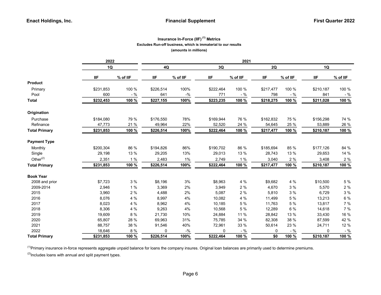# Insurance In-Force (IIF) $<sup>(1)</sup>$  Metrics</sup> Excludes Run-off business, which is immaterial to our results (amounts in millions)

|                      | 2022      |          |            |                 | 2021      |          |            |          |           |          |
|----------------------|-----------|----------|------------|-----------------|-----------|----------|------------|----------|-----------|----------|
|                      | 1Q        |          | $4{\sf Q}$ |                 | 3Q        |          | 2Q         |          | 1Q        |          |
|                      | ШF        | % of IIF | <b>IIF</b> | % of IIF        | IIF.      | % of IIF | <b>IIF</b> | % of IIF | IIF       | % of IIF |
| <b>Product</b>       |           |          |            |                 |           |          |            |          |           |          |
| Primary              | \$231,853 | 100 %    | \$226,514  | 100%            | \$222,464 | 100 %    | \$217,477  | 100 %    | \$210,187 | 100 %    |
| Pool                 | 600       | $-$ %    | 641        | $- \frac{0}{6}$ | 771       | - %      | 798        | $-$ %    | 841       | - %      |
| <b>Total</b>         | \$232,453 | 100 %    | \$227,155  | 100%            | \$223,235 | 100 %    | \$218,275  | 100 %    | \$211,028 | 100 %    |
| Origination          |           |          |            |                 |           |          |            |          |           |          |
| Purchase             | \$184,080 | 79 %     | \$176,550  | 78%             | \$169,944 | 76 %     | \$162,832  | 75 %     | \$156,298 | 74 %     |
| Refinance            | 47,773    | 21 %     | 49,964     | 22%             | 52,520    | 24 %     | 54,645     | 25 %     | 53,889    | 26 %     |
| <b>Total Primary</b> | \$231,853 | 100 %    | \$226,514  | 100%            | \$222,464 | 100 %    | \$217,477  | 100 %    | \$210,187 | 100 %    |
| <b>Payment Type</b>  |           |          |            |                 |           |          |            |          |           |          |
| Monthly              | \$200,304 | 86 %     | \$194,826  | 86%             | \$190,702 | 86 %     | \$185,694  | 85 %     | \$177,126 | 84 %     |
| Single               | 29,198    | 13 %     | 29,205     | 13%             | 29,013    | 13 %     | 28,743     | 13 %     | 29,653    | 14 %     |
| Other $(2)$          | 2,351     | 1%       | 2,483      | $1\%$           | 2,749     | 1%       | 3,040      | 2 %      | 3,408     | 2 %      |
| <b>Total Primary</b> | \$231,853 | 100 %    | \$226,514  | 100%            | \$222,464 | 100 %    | \$217,477  | 100 %    | \$210,187 | 100 %    |
| <b>Book Year</b>     |           |          |            |                 |           |          |            |          |           |          |
| 2008 and prior       | \$7,723   | 3%       | \$8,196    | 3%              | \$8,963   | 4 %      | \$9,682    | 4 %      | \$10,500  | 5 %      |
| 2009-2014            | 2,946     | 1%       | 3,369      | 2%              | 3,949     | 2%       | 4,670      | $3\%$    | 5,570     | $2\%$    |
| 2015                 | 3,960     | 2%       | 4,488      | 2%              | 5,087     | 2 %      | 5,810      | 3 %      | 6,729     | $3\%$    |
| 2016                 | 8,076     | 4 %      | 8,997      | 4%              | 10,082    | 4 %      | 11,499     | 5 %      | 13,213    | 6 %      |
| 2017                 | 8,023     | 4 %      | 8,962      | 4%              | 10,185    | 5 %      | 11,763     | 5 %      | 13,817    | 7 %      |
| 2018                 | 8,306     | 4 %      | 9,263      | 4%              | 10,568    | 5 %      | 12,289     | 6 %      | 14,618    | $7\%$    |
| 2019                 | 19,609    | 8 %      | 21,730     | 10%             | 24,884    | 11 %     | 28,842     | 13 %     | 33,430    | 16 %     |
| 2020                 | 65,807    | 28 %     | 69,963     | 31%             | 75,785    | 34 %     | 82,308     | 38 %     | 87,599    | 42 %     |
| 2021                 | 88,757    | 38 %     | 91,546     | 40%             | 72,961    | 33 %     | 50,614     | 23 %     | 24,711    | 12 %     |
| 2022                 | 18,646    | 8 %      | 0          | $-$ %           | 0         | $-$ %    | 0          | $-$ %    | 0         | - %      |
| <b>Total Primary</b> | \$231,853 | 100 %    | \$226,514  | 100%            | \$222,464 | 100 %    | \$0        | 100 %    | \$210,187 | 100 %    |

<sup>(1)</sup>Primary insurance in-force represents aggregate unpaid balance for loans the company insures. Original loan balances are primarily used to determine premiums.

 $(2)$ Includes loans with annual and split payment types.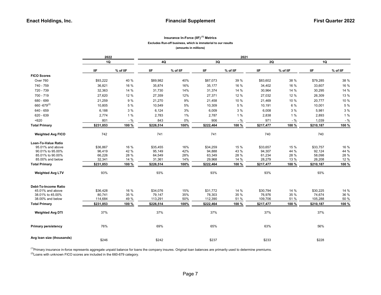### Insurance In-Force (IIF)<sup>(1)</sup> Metrics Excludes Run-off business, which is immaterial to our results

(amounts in millions)

|                             | 2022       |          |            |          |            | 2021     |            |          |            |          |
|-----------------------------|------------|----------|------------|----------|------------|----------|------------|----------|------------|----------|
|                             | <b>1Q</b>  |          | 4Q         |          | 3Q         |          | 2Q         |          | 1Q         |          |
|                             | <b>IIF</b> | % of IIF | <b>IIF</b> | % of IIF | <b>IIF</b> | % of IIF | <b>IIF</b> | % of IIF | <b>IIF</b> | % of IIF |
| <b>FICO Scores</b>          |            |          |            |          |            |          |            |          |            |          |
| Over 760                    | \$93,222   | 40 %     | \$89,982   | 40%      | \$87,073   | 39 %     | \$83,602   | 38 %     | \$79,285   | 38 %     |
| 740 - 759                   | 36,821     | 16 %     | 35,874     | 16%      | 35,177     | 16 %     | 34,402     | 16 %     | 33,607     | 16 %     |
| 720 - 739                   | 32,363     | 14 %     | 31,730     | 14%      | 31,374     | 14 %     | 30,964     | 14 %     | 30,295     | 14 %     |
| 700 - 719                   | 27,620     | 12 %     | 27,359     | 12%      | 27,371     | 12 %     | 27,032     | 12 %     | 26,309     | 13 %     |
| 680 - 699                   | 21,259     | 9%       | 21,270     | 9%       | 21,458     | 10 %     | 21,469     | 10 %     | 20,777     | 10 %     |
| $660 - 679^{(2)}$           | 10,805     | 5 %      | 10,549     | 5%       | 10,309     | 5 %      | 10,191     | 6 %      | 10,001     | 5 %      |
| 640 - 659                   | 6,188      | 3%       | 6,124      | 3%       | 6,009      | 3%       | 6,008      | 3%       | 5,981      | 3 %      |
| 620 - 639                   | 2,774      | 1%       | 2,783      | 1%       | 2,787      | 1%       | 2,838      | 1%       | 2,893      | 1%       |
| < 620                       | 801        | $-$ %    | 843        | 0%       | 906        | $-$ %    | 971        | $-$ %    | 1,039      | $-$ %    |
| <b>Total Primary</b>        | \$231,853  | 100 %    | \$226,514  | 100%     | \$222,464  | 100 %    | \$217,477  | 100 %    | \$210,187  | 100 %    |
| <b>Weighted Avg FICO</b>    | 742        |          | 741        |          | 741        |          | 740        |          | 740        |          |
| <b>Loan-To-Value Ratio</b>  |            |          |            |          |            |          |            |          |            |          |
| 95.01% and above            | \$36,867   | 16 %     | \$35,455   | 16%      | \$34,259   | 15 %     | \$33,657   | 15 %     | \$33,757   | 16 %     |
| 90.01% to 95.00%            | 96,419     | 42 %     | 95,149     | 42%      | 94,888     | 43 %     | 94,307     | 44 %     | 92,124     | 44 %     |
| 85.01% to 90.00%            | 66,226     | 28 %     | 64,549     | 28%      | 63,349     | 28 %     | 61,234     | 28 %     | 58,098     | 28 %     |
| 85,00% and below            | 32,341     | 14 %     | 31,361     | 14%      | 29,968     | 14 %     | 28,279     | 13 %     | 26,208     | 12 %     |
| <b>Total Primary</b>        | \$231,853  | 100 %    | \$226,514  | 100%     | \$222,464  | 100 %    | \$217,477  | 100 %    | \$210,187  | 100 %    |
| <b>Weighted Avg LTV</b>     | 93%        |          | 93%        |          | 93%        |          | 93%        |          | 93%        |          |
| <b>Debt-To-Income Ratio</b> |            |          |            |          |            |          |            |          |            |          |
| 45.01% and above            | \$36,428   | 16 %     | \$34,076   | 15%      | \$31,772   | 14 %     | \$30,794   | 14 %     | \$30,225   | 14 %     |
| 38.01% to 45.00%            | 80,741     | 35 %     | 79,147     | 35%      | 78,303     | 35 %     | 76,976     | 35 %     | 74,674     | 36 %     |
| 38.00% and below            | 114,684    | 49 %     | 113,291    | 50%      | 112,390    | 51 %     | 109,706    | 51 %     | 105,288    | 50 %     |
| <b>Total Primary</b>        | \$231,853  | 100 %    | \$226,514  | 100%     | \$222,464  | 100 %    | \$217,477  | 100 %    | \$210,187  | 100 %    |
| <b>Weighted Avg DTI</b>     | 37%        |          | 37%        |          | 37%        |          | 37%        |          | 37%        |          |
| <b>Primary persistency</b>  | 76%        |          | 69%        |          | 65%        |          | 63%        |          | 56%        |          |
| Avg Ioan size (thousands)   | \$246      |          | \$242      |          | \$237      |          | \$233      |          | \$228      |          |

<sup>(1)</sup>Primary insurance in-force represents aggregate unpaid balance for loans the company insures. Original loan balances are primarily used to determine premiums.

 $^{(2)}$ Loans with unknown FICO scores are included in the 660-679 category.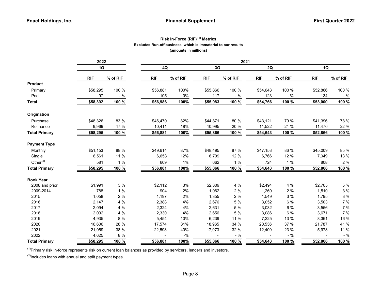# Risk In-Force (RIF)<sup>(1)</sup> Metrics Excludes Run-off business, which is immaterial to our results (amounts in millions)

|                      | 2022       |          |            |          |            |          | 2021       |          |            |          |  |  |
|----------------------|------------|----------|------------|----------|------------|----------|------------|----------|------------|----------|--|--|
|                      | 1Q         |          | $4{\sf Q}$ |          | 3Q         |          | 2Q         |          | 1Q         |          |  |  |
|                      | <b>RIF</b> | % of RIF | <b>RIF</b> | % of RIF | <b>RIF</b> | % of RIF | <b>RIF</b> | % of RIF | <b>RIF</b> | % of RIF |  |  |
| <b>Product</b>       |            |          |            |          |            |          |            |          |            |          |  |  |
| Primary              | \$58,295   | 100 %    | \$56,881   | 100%     | \$55,866   | 100 %    | \$54,643   | 100 %    | \$52,866   | 100 %    |  |  |
| Pool                 | 97         | $-$ %    | 105        | $0\%$    | 117        | $-$ %    | 123        | $-$ %    | 134        | - %      |  |  |
| <b>Total</b>         | \$58,392   | 100 %    | \$56,986   | 100%     | \$55,983   | 100 %    | \$54,766   | 100 %    | \$53,000   | 100 %    |  |  |
| Origination          |            |          |            |          |            |          |            |          |            |          |  |  |
| Purchase             | \$48,326   | 83 %     | \$46,470   | 82%      | \$44,871   | 80 %     | \$43,121   | 79 %     | \$41,396   | 78 %     |  |  |
| Refinance            | 9,969      | 17 %     | 10,411     | 18%      | 10,995     | 20 %     | 11,522     | 21 %     | 11,470     | 22 %     |  |  |
| <b>Total Primary</b> | \$58,295   | 100 %    | \$56,881   | 100%     | \$55,866   | 100 %    | \$54,643   | 100 %    | \$52,866   | 100 %    |  |  |
| <b>Payment Type</b>  |            |          |            |          |            |          |            |          |            |          |  |  |
| Monthly              | \$51,153   | 88 %     | \$49,614   | 87%      | \$48,495   | 87 %     | \$47,153   | 86 %     | \$45,009   | 85 %     |  |  |
| Single               | 6,561      | 11 %     | 6,658      | 12%      | 6,709      | 12 %     | 6,766      | 12 %     | 7,049      | 13 %     |  |  |
| Other <sup>(2)</sup> | 581        | 1 %      | 609        | 1%       | 662        | 1%       | 724        | 1%       | 808        | 2 %      |  |  |
| <b>Total Primary</b> | \$58,295   | 100 %    | \$56,881   | 100%     | \$55,866   | 100 %    | \$54,643   | 100 %    | \$52,866   | 100 %    |  |  |
| <b>Book Year</b>     |            |          |            |          |            |          |            |          |            |          |  |  |
| 2008 and prior       | \$1,991    | 3 %      | \$2,112    | 3%       | \$2,309    | 4 %      | \$2,494    | 4 %      | \$2,705    | 5 %      |  |  |
| 2009-2014            | 788        | $1%$     | 904        | 2%       | 1,062      | $2\%$    | 1,260      | 2%       | 1,510      | $3%$     |  |  |
| 2015                 | 1,058      | 2 %      | 1,197      | 2%       | 1,355      | 2%       | 1,549      | 3%       | 1.795      | 3 %      |  |  |
| 2016                 | 2,147      | 4 %      | 2,388      | 4%       | 2,676      | 5 %      | 3,052      | 6 %      | 3,503      | 7 %      |  |  |
| 2017                 | 2,094      | 4 %      | 2,324      | 4%       | 2,631      | 5 %      | 3,032      | 6 %      | 3,556      | 7 %      |  |  |
| 2018                 | 2,092      | 4 %      | 2,330      | 4%       | 2,656      | 5 %      | 3,086      | 6 %      | 3,671      | 7 %      |  |  |
| 2019                 | 4,935      | 8 %      | 5,454      | 10%      | 6,239      | 11 %     | 7,225      | 13 %     | 8,361      | 16 %     |  |  |
| 2020                 | 16,606     | 28 %     | 17,574     | 31%      | 18,965     | 34 %     | 20,536     | 37 %     | 21,787     | 41 %     |  |  |
| 2021                 | 21,959     | 38 %     | 22,598     | 40%      | 17,973     | 32 %     | 12,409     | 23 %     | 5,978      | 11 %     |  |  |
| 2022                 | 4,625      | 8 %      |            | $-$ %    |            | $-$ %    |            | $-$ %    |            | $-$ %    |  |  |
| <b>Total Primary</b> | \$58,295   | 100 %    | \$56,881   | 100%     | \$55,866   | 100 %    | \$54,643   | 100 %    | \$52,866   | 100 %    |  |  |

 $<sup>(1)</sup>$ Primary risk in-force represents risk on current loan balances as provided by servicers, lenders and investors.</sup>

 $(2)$ Includes loans with annual and split payment types.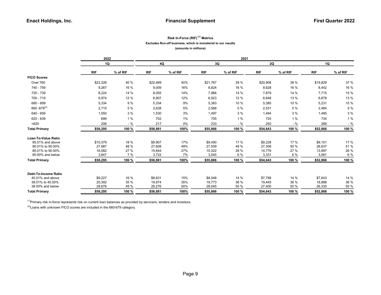# Risk In-Force (RIF)<sup>(1)</sup> Metrics Excludes Run-off business, which is immaterial to our results (amounts in millions)

|                             | 2022       |          | 2021       |          |            |          |            |          |            |          |  |  |
|-----------------------------|------------|----------|------------|----------|------------|----------|------------|----------|------------|----------|--|--|
|                             | 1Q         |          | 4Q         |          | 3Q         |          | 2Q         |          | 1Q         |          |  |  |
|                             | <b>RIF</b> | % of RIF | <b>RIF</b> | % of RIF | <b>RIF</b> | % of RIF | <b>RIF</b> | % of RIF | <b>RIF</b> | % of RIF |  |  |
| <b>FICO Scores</b>          |            |          |            |          |            |          |            |          |            |          |  |  |
| Over 760                    | \$23,326   | 40 %     | \$22,489   | 40%      | \$21,767   | 39 %     | \$20,908   | 38 %     | \$19,829   | 37 %     |  |  |
| 740 - 759                   | 9,267      | 16 %     | 9,009      | 16%      | 8,824      | 16 %     | 8,628      | 16 %     | 8,442      | 16 %     |  |  |
| 720 - 739                   | 8,224      | 14 %     | 8,055      | 14%      | 7,966      | 14 %     | 7,879      | 14 %     | 7,715      | 15 %     |  |  |
| 700 - 719                   | 6,974      | 12 %     | 6,907      | 12%      | 6,923      | 12 %     | 6,848      | 13 %     | 6,678      | 13 %     |  |  |
| 680 - 699                   | 5,334      | 9 %      | 5,334      | 9%       | 5,383      | 10 %     | 5,385      | 10 %     | 5,231      | 10 %     |  |  |
| $660 - 679^{(2)}$           | 2,715      | 5 %      | 2,638      | 5%       | 2,568      | 5 %      | 2,531      | 5 %      | 2,484      | 5 %      |  |  |
| 640 - 659                   | 1,550      | 3%       | 1,530      | 3%       | 1,497      | 3 %      | 1,494      | 3%       | 1,485      | 3 %      |  |  |
| 620 - 639                   | 699        | 1%       | 702        | 1%       | 705        | 1%       | 720        | 1%       | 734        | 1%       |  |  |
| < 620                       | 206        | $-$ %    | 217        | 0%       | 233        | $-$ %    | 250        | $-$ %    | 268        | $-$ %    |  |  |
| <b>Total Primary</b>        | \$58,295   | 100 %    | \$56,881   | 100%     | \$55,866   | 100 %    | \$54,643   | 100 %    | \$52,866   | 100 %    |  |  |
| <b>Loan-To-Value Ratio</b>  |            |          |            |          |            |          |            |          |            |          |  |  |
| 95.01% and above            | \$10,379   | 18 %     | \$9,907    | 17%      | \$9,490    | 17 %     | \$9,228    | 17 %     | \$9,151    | 17 %     |  |  |
| 90.01% to 95.00%            | 27,987     | 48 %     | 27,608     | 49%      | 27,509     | 49 %     | 27,308     | 50 %     | 26,637     | 51 %     |  |  |
| 85.01% to 90.00%            | 16,082     | 27 %     | 15,644     | 27%      | 15,322     | 28 %     | 14,776     | 27 %     | 13,997     | 26 %     |  |  |
| 85.00% and below            | 3,847      | 7 %      | 3,722      | 7%       | 3,545      | 6 %      | 3,331      | 6 %      | 3,081      | 6 %      |  |  |
| <b>Total Primary</b>        | \$58,295   | 100 %    | \$56,881   | 100%     | \$55,866   | 100 %    | \$54.643   | 100 %    | \$52,866   | 100 %    |  |  |
| <b>Debt-To-Income Ratio</b> |            |          |            |          |            |          |            |          |            |          |  |  |
| 45.01% and above            | \$9,227    | 16 %     | \$8,631    | 15%      | \$8,048    | 14 %     | \$7,798    | 14 %     | \$7,643    | 14 %     |  |  |
| 38.01% to 45.00%            | 20,392     | 35 %     | 19,974     | 35%      | 19,773     | 36 %     | 19,445     | 36 %     | 18,888     | 36 %     |  |  |
| 38,00% and below            | 28,676     | 49 %     | 28,276     | 50%      | 28,045     | 50 %     | 27,400     | 50 %     | 26,335     | 50 %     |  |  |
| <b>Total Primary</b>        | \$58,295   | 100 %    | \$56,881   | 100%     | \$55,866   | 100 %    | \$54,643   | 100 %    | \$52,866   | 100 %    |  |  |

 $<sup>(1)</sup>$ Primary risk in-force represents risk on current loan balances as provided by servicers, lenders and investors.</sup>

 $^{(2)}$ Loans with unknown FICO scores are included in the 660-679 category.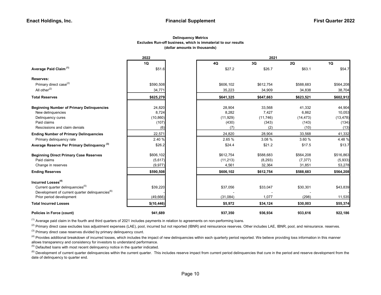### (dollar amounts in thousands) Excludes Run-off business, which is immaterial to our results Delinquency Metrics

|                                                                                         | 2022        |           | 2021      |           |           |  |  |  |  |  |
|-----------------------------------------------------------------------------------------|-------------|-----------|-----------|-----------|-----------|--|--|--|--|--|
|                                                                                         | 1Q          | 4Q        | 3Q        | 2Q        | 1Q        |  |  |  |  |  |
| Average Paid Claim <sup>(1)</sup>                                                       | \$51.6      | \$27.2    | \$26.7    | \$63.1    | \$54.7    |  |  |  |  |  |
| Reserves:                                                                               |             |           |           |           |           |  |  |  |  |  |
| Primary direct case <sup>(2)</sup>                                                      | \$590,508   | \$606,102 | \$612,754 | \$588,683 | \$564,208 |  |  |  |  |  |
| All other $(2)$                                                                         | 34,771      | 35,223    | 34,909    | 34,838    | 38,704    |  |  |  |  |  |
| <b>Total Reserves</b>                                                                   | \$625,279   | \$641,325 | \$647,663 | \$623,521 | \$602,912 |  |  |  |  |  |
| <b>Beginning Number of Primary Delinquencies</b>                                        | 24,820      | 28,904    | 33,568    | 41,332    | 44,904    |  |  |  |  |  |
| New delinquencies                                                                       | 8,724       | 8,282     | 7,427     | 6,862     | 10,053    |  |  |  |  |  |
| Delinquency cures                                                                       | (10, 860)   | (11, 929) | (11,746)  | (14, 473) | (13, 478) |  |  |  |  |  |
| Paid claims                                                                             | (107)       | (430)     | (343)     | (143)     | (134)     |  |  |  |  |  |
| Rescissions and claim denials                                                           | (6)         | (7)       | (2)       | (10)      | (13)      |  |  |  |  |  |
| <b>Ending Number of Primary Delinquencies</b>                                           | 22,571      | 24,820    | 28,904    | 33,568    | 41,332    |  |  |  |  |  |
| Primary delinquency rate                                                                | 2.40 %      | 2.65 %    | 3.08 %    | 3.60 %    | 4.48 %    |  |  |  |  |  |
| Average Reserve Per Primary Delinguency <sup>(3)</sup>                                  | \$26.2      | \$24.4    | \$21.2    | \$17.5    | \$13.7    |  |  |  |  |  |
| <b>Beginning Direct Primary Case Reserves</b>                                           | \$606,102   | \$612,754 | \$588,683 | \$564,208 | \$516,863 |  |  |  |  |  |
| Paid claims                                                                             | (5,617)     | (11, 213) | (8, 293)  | (7, 377)  | (5,933)   |  |  |  |  |  |
| Change in reserves                                                                      | (9, 977)    | 4,561     | 32,364    | 31,851    | 53,278    |  |  |  |  |  |
| <b>Ending Reserves</b>                                                                  | \$590,508   | \$606,102 | \$612,754 | \$588,683 | \$564,208 |  |  |  |  |  |
| Incurred Losses <sup>(4)</sup>                                                          |             |           |           |           |           |  |  |  |  |  |
| Current quarter delinquencies <sup>(5)</sup>                                            | \$39,220    | \$37,056  | \$33,047  | \$30,301  | \$43,839  |  |  |  |  |  |
| Development of current quarter delinquencies <sup>(6)</sup><br>Prior period development | (49,666)    | (31,084)  | 1,077     | (298)     | 11,535    |  |  |  |  |  |
| <b>Total Incurred Losses</b>                                                            | \$(10, 446) | \$5,972   | \$34,124  | \$30,003  | \$55,374  |  |  |  |  |  |
| Policies in Force (count)                                                               | 941,689     | 937,350   | 936,934   | 933,616   | 922,186   |  |  |  |  |  |

 $<sup>(1)</sup>$  Average paid claim in the fourth and third quarters of 2021 includes payments in relation to agreements on non-performing loans.</sup>

<sup>(2)</sup> Primary direct case excludes loss adjustment expenses (LAE), pool, incurred but not reported (IBNR) and reinsurance reserves. Other includes LAE, IBNR, pool, and reinsurance. reserves.

 $(3)$  Primary direct case reserves divided by primary delinquency count.

<sup>(4)</sup> Provides additional breakdown of incurred losses, which includes the impact of new delinquencies within each quarterly period reported. We believe providing loss information in this manner allows transparency and consistency for investors to understand performance.

 $<sup>(5)</sup>$  Defaulted loans with most recent delinquency notice in the quarter indicated.</sup>

<sup>(6)</sup> Development of current quarter delinquencies within the current quarter. This includes reserve impact from current period delinquencies that cure in the period and reserve development from the date of delinquency to quarter end.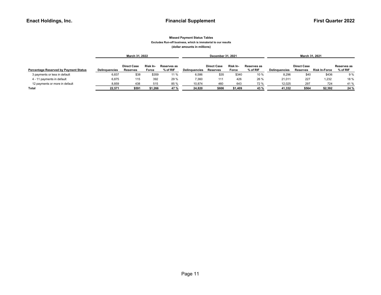#### Missed Payment Status Tables Excludes Run-off business, which is immaterial to our results (dollar amounts in millions)

|                                              |                      | March 31, 2022     |          |             |               | December 31, 2021  |          |             |                      | March 31, 2021     |               |             |  |
|----------------------------------------------|----------------------|--------------------|----------|-------------|---------------|--------------------|----------|-------------|----------------------|--------------------|---------------|-------------|--|
|                                              |                      |                    |          |             |               |                    |          |             |                      |                    |               |             |  |
|                                              |                      | <b>Direct Case</b> | Risk In- | Reserves as |               | <b>Direct Case</b> | Risk In- | Reserves as |                      | <b>Direct Case</b> |               | Reserves as |  |
| <b>Percentage Reserved by Payment Status</b> | <b>Delinguencies</b> | <b>Reserves</b>    | Force    | $%$ of RIF  | Delinquencies | Reserves           | Force    | % of RIF    | <b>Delinguencies</b> | <b>Reserves</b>    | Risk In-Force | % of RIF    |  |
| 3 payments or less in default                | 6,837                | \$38               | \$359    | 11 %        | 6,586         | \$35               | \$340    | 10 %        | 8,296                | \$40               | \$436         | 9%          |  |
| 4 - 11 payments in default                   | 6,875                | 115                | 392      | 29 %        | 7,360         | 111                | 426      | 26 %        | 21,011               | 227                | 1,232         | 18 %        |  |
| 12 payments or more in default               | 8,859                | 438                | 515      | 85 %        | 10,874        | 460                | 643      | 72 %        | 12,025               | 297                | 724           | 41 %        |  |
| Total                                        | 22.571               | \$591              | \$1,266  | 47 %        | 24.820        | \$606              | \$1,409  | 43 %        | 41.332               | \$564              | \$2,392       | 24%         |  |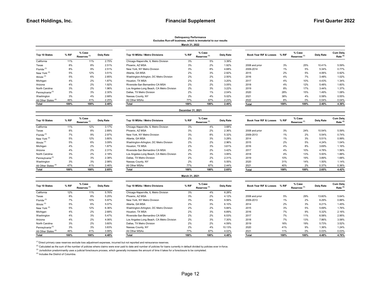#### Delinquency Performance Excludes Run-off business, which is immaterial to our results March 31, 2022

| Top 10 States                   | % RIF | % Case<br>Reserves <sup>(1)</sup> | Delg Rate |
|---------------------------------|-------|-----------------------------------|-----------|
| California                      | 11%   | 11%                               | 2.75%     |
| Texas                           | 8%    | 8%                                | 2.51%     |
| Florida <sup>(3)</sup>          | 8%    | 9%                                | 2.51%     |
| New York <sup>(3)</sup>         | 5%    | 12%                               | 3.51%     |
| Illinois $^{(3)}$               | 5%    | 6%                                | 2.85%     |
| Michigan                        | 4%    | 2%                                | 1.87%     |
| Arizona                         | 4%    | 2%                                | 1.92%     |
| North Carolina                  | 3%    | 2%                                | 1.96%     |
| Pennsylvania <sup>(3)</sup>     | 3%    | 3%                                | 2.30%     |
| Washington                      | 3%    | 4%                                | 2.68%     |
| All Other States <sup>(4)</sup> | 46%   | 41%                               | 2.25%     |
| Total                           | 100%  | 100%                              | 2.40%     |

| Top 10 States                   | % RIF | % Case<br>Reserves <sup>(1)</sup> | Dela Rate | Top 10 MSAs / Metro Divisions             | % RIF | % Case<br>Reserves <sup>(1)</sup> | Delg Rate | Book Year RIF & Losses | % RIF | % Case<br>Reserves <sup>(1)</sup> | Delg Rate | <b>Cum Delg</b><br>Rate <sup>(2</sup> |
|---------------------------------|-------|-----------------------------------|-----------|-------------------------------------------|-------|-----------------------------------|-----------|------------------------|-------|-----------------------------------|-----------|---------------------------------------|
| California                      | 11%   | 11%                               | 2.75%     | Chicago-Naperville, IL Metro Division     | 3%    | 5%                                | 3.39%     |                        |       |                                   |           |                                       |
| Texas                           | 8%    | 8%                                | 2.51%     | Phoenix, AZ MSA                           | 3%    | 2%                                | 1.92%     | 2008 and prior         | 3%    | 25%                               | 10.41%    | 5.59%                                 |
| Florida <sup>(3)</sup>          | 8%    | 9%                                | 2.51%     | New York, NY Metro Division               | 3%    | 8%                                | 4.68%     | 2009-2014              | 1%    | 5%                                | 5.34%     | 0.77%                                 |
| New York <sup>(3)</sup>         | 5%    | 12%                               | 3.51%     | Atlanta, GA MSA                           | 2%    | 3%                                | 2.92%     | 2015                   | 2%    | 5%                                | 4.06%     | 0.92%                                 |
| Illinois <sup>(3)</sup>         | 5%    | 6%                                | 2.85%     | Washington-Arlington, DC Metro Division   | 2%    | 2%                                | 2.50%     | 2016                   | 4%    | 7%                                | 3.48%     | 1.02%                                 |
| Michigan                        | 4%    | 2%                                | 1.87%     | Houston, TX MSA                           | 2%    | 3%                                | 3.20%     | 2017                   | 4%    | 10%                               | 4.43%     | 1.34%                                 |
| Arizona                         | 4%    | 2%                                | 1.92%     | Riverside-San Bernardino CA MSA           | 2%    | 2%                                | 3.05%     | 2018                   | 4%    | 12%                               | 5.48%     | 1.60%                                 |
| North Carolina                  | 3%    | 2%                                | 1.96%     | Los Angeles-Long Beach, CA Metro Division | 2%    | 3%                                | 3.22%     | 2019                   | 8%    | 17%                               | 3.44%     | 1.37%                                 |
| Pennsylvania <sup>(3)</sup>     | 3%    | 3%                                | 2.30%     | Dallas, TX Metro Division                 | 2%    | 1%                                | 2.04%     | 2020                   | 28%   | 15%                               | 1.49%     | 1.08%                                 |
| Washington                      | 3%    | 4%                                | 2.68%     | Nassau County, NY                         | 2%    | 4%                                | 5.02%     | 2021                   | 38%   | 4%                                | 0.58%     | 0.55%                                 |
| All Other States <sup>(4)</sup> | 46%   | 41%                               | 2.25%     | All Other MSAs                            | 77%   | 67%                               | 2.23%     | 2022                   | 8%    | 0%                                | 0.04%     | 0.04%                                 |
| Total                           | 100%  | 100%                              | 2.40%     | Total                                     | 100%  | 100%                              | 2.40%     | Total                  | 100%  | 100%                              | 2.40%     | 4.36%                                 |
|                                 |       |                                   |           |                                           |       |                                   |           |                        |       |                                   |           |                                       |

#### December 31, 2021

| Top 10 States                   | % RIF | % Case<br>Reserves <sup>(1)</sup> | Delg Rate |
|---------------------------------|-------|-----------------------------------|-----------|
| California                      | 11%   | 12%                               | 3.17%     |
| Texas                           | 8%    | 8%                                | 2.89%     |
| Florida <sup>(3)</sup>          | 7%    | 9%                                | 2.97%     |
| New York <sup>(3)</sup>         | 5%    | 12%                               | 3.80%     |
| Illinois $(3)$                  | 5%    | 6%                                | 3.09%     |
| Michigan                        | 4%    | 2%                                | 1.87%     |
| Arizona                         | 4%    | 2%                                | 2.31%     |
| North Carolina                  | 3%    | 2%                                | 2.18%     |
| Pennsylvania <sup>(3)</sup>     | 3%    | 3%                                | 2.38%     |
| Washington                      | 3%    | 3%                                | 2.98%     |
| All Other States <sup>(4)</sup> | 47%   | 41%                               | 2.46%     |
| Total                           | 100%  | 100%                              | 2.65%     |

| Top 10 States                   | % Case<br>% RIF<br>Dela Rate<br>Reserves <sup>(1)</sup> |      | Top 10 MSAs / Metro Divisions | % RIF                                     | % Case<br>Reserves <sup>(1)</sup> | Dela Rate | Book Year RIF & Losses | % RIF          |      | Dela Rate | <b>Cum Delg</b><br>Rate <sup>(2</sup> |       |
|---------------------------------|---------------------------------------------------------|------|-------------------------------|-------------------------------------------|-----------------------------------|-----------|------------------------|----------------|------|-----------|---------------------------------------|-------|
| California                      | 11%                                                     | 12%  | 3.17%                         | Chicago-Naperville, IL Metro Division     | 3%                                | 4%        | 3.68%                  |                |      |           |                                       |       |
| Texas                           | 8%                                                      | 8%   | 2.89%                         | Phoenix, AZ MSA                           | 3%                                | 2%        | 2.36%                  | 2008 and prior | 3%   | 24%       | 10.54%                                | 5.59% |
| Florida <sup>(3)</sup>          | 7%                                                      | 9%   | 2.97%                         | New York, NY Metro Division               | 3%                                | 8%        | 5.32%                  | 2009-2013      | 1%   | 2%        | 5.54%                                 | 0.74% |
| New York (3)                    | 5%                                                      | 12%  | 3.80%                         | Atlanta, GA MSA                           | 2%                                | 3%        | 3.28%                  | 2014           | 1%   | 3%        | 5.51%                                 | 0.99% |
| Illinois <sup>(3)</sup>         | 5%                                                      | 6%   | 3.09%                         | Washington-Arlington, DC Metro Division   | 2%                                | 2%        | 2.96%                  | 2015           | 2%   | 5%        | 4.24%                                 | 1.04% |
| Michigan                        | 4%                                                      | 2%   | 1.87%                         | Houston, TX MSA                           | 2%                                | 3%        | 3.61%                  | 2016           | 4%   | 8%        | 3.69%                                 | 1.16% |
| Arizona                         | 4%                                                      | 2%   | 2.31%                         | Riverside-San Bernardino CA MSA           | 2%                                | 2%        | 3.42%                  | 2017           | 4%   | 10%       | 4.78%                                 | 1.56% |
| North Carolina                  | 3%                                                      | 2%   | 2.18%                         | Los Angeles-Long Beach, CA Metro Division | 2%                                | 3%        | 3.95%                  | 2018           | 4%   | 13%       | 5.93%                                 | 1.88% |
| Pennsylvania <sup>(3)</sup>     | 3%                                                      | 3%   | 2.38%                         | Dallas, TX Metro Division                 | 2%                                | 2%        | 2.31%                  | 2019           | 10%  | 19%       | 3.89%                                 | 1.68% |
| Washington                      | 3%                                                      | 3%   | 2.98%                         | Nassau County, NY                         | 2%                                | 4%        | 5.55%                  | 2020           | 31%  | 14%       | 1.50%                                 | 1.14% |
| All Other States <sup>(4)</sup> | 47%                                                     | 41%  | 2.46%                         | All Other MSAs                            | 77%                               | 67%       | 2.44%                  | 2021           | 40%  | 2%        | 0.37%                                 | 0.36% |
| Total                           | 100%                                                    | 100% | 2.65%                         | Total                                     | 100%                              | 100%      | 2.65%                  | Total          | 100% | 100%      | 2.65%                                 | A 42% |

| Top 10 States                   | % Case<br>% RIF<br>Dela Rate<br>Reserves <sup>(1)</sup> |      |       | Top 10 MSAs / Metro Divisions             | % Case<br>% RIF<br>Reserves <sup>(1)</sup> |      | Delg Rate | Book Year RIF & Losses | % RIF | % Case<br>Reserves <sup>(1)</sup> | <b>Delg Rate</b> | <b>Cum Delg</b><br>Rate <sup>(2)</sup> |
|---------------------------------|---------------------------------------------------------|------|-------|-------------------------------------------|--------------------------------------------|------|-----------|------------------------|-------|-----------------------------------|------------------|----------------------------------------|
| California                      | 11%                                                     | 12%  | 3.17% | Chicago-Naperville, IL Metro Division     | 3%                                         | 4%   | 3.68%     |                        |       |                                   |                  |                                        |
| Texas                           | 8%                                                      | 8%   | 2.89% | Phoenix, AZ MSA                           | 3%                                         | 2%   | 2.36%     | 2008 and prior         | 3%    | 24%                               | 10.54%           | 5.59%                                  |
| Florida <sup>(3)</sup>          | 7%                                                      | 9%   | 2.97% | New York, NY Metro Division               | 3%                                         | 8%   | 5.32%     | 2009-2013              | 1%    | 2%                                | 5.54%            | 0.74%                                  |
| New York <sup>(3)</sup>         | 5%                                                      | 12%  | 3.80% | Atlanta, GA MSA                           | 2%                                         | 3%   | 3.28%     | 2014                   | 1%    | 3%                                | 5.51%            | 0.99%                                  |
| Illinois <sup>(3)</sup>         | 5%                                                      | 6%   | 3.09% | Washington-Arlington, DC Metro Division   | 2%                                         | 2%   | 2.96%     | 2015                   | 2%    | 5%                                | 4.24%            | 1.04%                                  |
| Michigan                        | 4%                                                      | 2%   | 1.87% | Houston, TX MSA                           | 2%                                         | 3%   | 3.61%     | 2016                   | 4%    | 8%                                | 3.69%            | 1.16%                                  |
| Arizona                         | 4%                                                      | 2%   | 2.31% | Riverside-San Bernardino CA MSA           | 2%                                         | 2%   | 3.42%     | 2017                   | 4%    | 10%                               | 4.78%            | 1.56%                                  |
| North Carolina                  | 3%                                                      | 2%   | 2.18% | Los Angeles-Long Beach, CA Metro Division | 2%                                         | 3%   | 3.95%     | 2018                   | 4%    | 13%                               | 5.93%            | 1.88%                                  |
| Pennsylvania <sup>(3)</sup>     | 3%                                                      | 3%   | 2.38% | Dallas, TX Metro Division                 | 2%                                         | 2%   | 2.31%     | 2019                   | 10%   | 19%                               | 3.89%            | 1.68%                                  |
| Washington                      | 3%                                                      | 3%   | 2.98% | Nassau County, NY                         | 2%                                         | 4%   | 5.55%     | 2020                   | 31%   | 14%                               | 1.50%            | 1.14%                                  |
| All Other States <sup>(4)</sup> | 47%                                                     | 41%  | 2.46% | All Other MSAs                            | 77%                                        | 67%  | 2.44%     | 2021                   | 40%   | 2%                                | 0.37%            | 0.36%                                  |
| Total                           | 100%                                                    | 100% | 2.65% | <b>Total</b>                              | 100%                                       | 100% | 2.65%     | <b>Total</b>           | 100%  | 100%                              | 2.65%            | 4.42%                                  |

#### March 31, 2021

| % Case<br>% RIF<br>Top 10 States<br>Dela Rate<br>Reserves <sup>(1)</sup> |       | Top 10 MSAs / Metro Divisions | % Case<br>% RIF<br>Reserves <sup>(1)</sup> |                                           | Delg Rate | Book Year RIF & Losses | % RIF                    | % Case<br>Reserves <sup>(1)</sup> | Delg Rate | <b>Cum Dela</b><br>Rate <sup>(2)</sup> |                 |           |
|--------------------------------------------------------------------------|-------|-------------------------------|--------------------------------------------|-------------------------------------------|-----------|------------------------|--------------------------|-----------------------------------|-----------|----------------------------------------|-----------------|-----------|
| California                                                               | 12%   | 11%                           | 5.76%                                      | Chicago-Naperville, IL Metro Division     | 3%        | 4%                     | 6.28%                    |                                   |           |                                        |                 |           |
| Texas                                                                    | 8%    | 8%                            | 5.25%                                      | Phoenix, AZ MSA                           | 3%        | 2%                     | 4.12%                    | 2008 and prior                    | 5%        | 29%                                    | 13.60%          | 5.64%     |
| Florida <sup>(3)</sup>                                                   | 7%    | 10%                           | 5.97%                                      | New York, NY Metro Division               | 3%        | 8%                     | 9.56%                    | 2009-2013                         | $1\%$     | 2%                                     | 6.29%           | 0.88%     |
| Illinois $^{(3)}$                                                        | 5%    | 6%                            | 5.07%                                      | Atlanta, GA MSA                           | 2%        | 3%                     | 6.10%                    | 2014                              | 2%        | 3%                                     | 6.21%           | 1.45%     |
| New York <sup>(3)</sup>                                                  | 5%    | 12%                           | 6.36%                                      | Washington-Arlington, DC Metro Division   | 2%        | 2%                     | 5.84%                    | 2015                              | 3%        | 5%                                     | 5.69%           | 1.76%     |
| Michigan                                                                 | 4%    | 2%                            | 2.68%                                      | Houston, TX MSA                           | 2%        | 3%                     | 6.89%                    | 2016                              | 7%        | 9%                                     | 5.32%           | 2.16%     |
| Washington                                                               | 4%    | 3%                            | 5.47%                                      | Riverside-San Bernardino CA MSA           | 2%        | 2%                     | 6.53%                    | 2017                              | 7%        | 11%                                    | 6.58%           | 2.95%     |
| Arizona                                                                  | 4%    | 2%                            | 4.06%                                      | Los Angeles-Long Beach, CA Metro Division | 2%        | 3%                     | 7.30%                    | 2018                              | 7%        | 13%                                    | 7.86%           | 3.58%     |
| North Carolina                                                           | 3%    | 2%                            | 3.60%                                      | Dallas, TX Metro Division                 | 2%        | 2%                     | 4.59%                    | 2019                              | 16%       | 19%                                    | 5.73%           | 3.52%     |
| Pennsylvania <sup>(3)</sup>                                              | 3%    | 3%                            | 3.83%                                      | Nassau County, NY                         | 2%        | 4%                     | 10.13%                   | 2020                              | 41%       | 9%                                     | 1.36%           | 1.24%     |
| All Other States <sup>(4)</sup>                                          | 46%   | 41%                           | 3.99%                                      | All Other MSAs                            | 77%       | 67%                    | 4.02%                    | 2021                              | 11%       | $0\%$                                  | 0.03%           | 0.03%     |
| - - -                                                                    | 10001 | 1000                          | $\cdot$ $\cdot$                            | - - -                                     | 1000      | 1000                   | $\overline{\phantom{a}}$ | - - -                             | 1000      | 1000                                   | $\cdot$ $\cdot$ | $- - - -$ |

| % RIF | % Case<br>Delg Rate<br>Reserves <sup>(1)</sup> |       | Top 10 MSAs / Metro Divisions             |      | % Case<br>% RIF<br>Reserves <sup>(1)</sup> |        | Book Year RIF & Losses | % RIF | % Case<br>Reserves <sup>(1)</sup> | Delg Rate | <b>Cum Delg</b><br>Rate $(2)$ |
|-------|------------------------------------------------|-------|-------------------------------------------|------|--------------------------------------------|--------|------------------------|-------|-----------------------------------|-----------|-------------------------------|
| 12%   | 11%                                            | 5.76% | Chicago-Naperville, IL Metro Division     | 3%   | 4%                                         | 6.28%  |                        |       |                                   |           |                               |
| 8%    | 8%                                             | 5.25% | Phoenix, AZ MSA                           | 3%   | 2%                                         | 4.12%  | 2008 and prior         | 5%    | 29%                               | 13.60%    | 5.64%                         |
| 7%    | 10%                                            | 5.97% | New York, NY Metro Division               | 3%   | 8%                                         | 9.56%  | 2009-2013              | $1\%$ | 2%                                | 6.29%     | 0.88%                         |
| 5%    | 6%                                             | 5.07% | Atlanta, GA MSA                           | 2%   | 3%                                         | 6.10%  | 2014                   | 2%    | 3%                                | 6.21%     | 1.45%                         |
| 5%    | 12%                                            | 6.36% | Washington-Arlington, DC Metro Division   | 2%   | 2%                                         | 5.84%  | 2015                   | 3%    | 5%                                | 5.69%     | 1.76%                         |
| 4%    | 2%                                             | 2.68% | Houston, TX MSA                           | 2%   | 3%                                         | 6.89%  | 2016                   | 7%    | 9%                                | 5.32%     | 2.16%                         |
| 4%    | 3%                                             | 5.47% | Riverside-San Bernardino CA MSA           | 2%   | 2%                                         | 6.53%  | 2017                   | 7%    | 11%                               | 6.58%     | 2.95%                         |
| 4%    | 2%                                             | 4.06% | Los Angeles-Long Beach, CA Metro Division | 2%   | 3%                                         | 7.30%  | 2018                   | 7%    | 13%                               | 7.86%     | 3.58%                         |
| 3%    | 2%                                             | 3.60% | Dallas, TX Metro Division                 | 2%   | 2%                                         | 4.59%  | 2019                   | 16%   | 19%                               | 5.73%     | 3.52%                         |
| 3%    | 3%                                             | 3.83% | Nassau County, NY                         | 2%   | 4%                                         | 10.13% | 2020                   | 41%   | 9%                                | 1.36%     | 1.24%                         |
| 46%   | 41%                                            | 3.99% | All Other MSAs                            | 77%  | 67%                                        | 4.02%  | 2021                   | 11%   | 0%                                | 0.03%     | 0.03%                         |
| 100%  | 100%                                           | 4.48% | <b>Total</b>                              | 100% | 100%                                       | 4.48%  | <b>Total</b>           | 100%  | 100%                              | 4.48%     | 4.76%                         |
|       |                                                |       |                                           |      |                                            |        | Delg Rate              |       |                                   |           |                               |

(1) Direct primary case reserves exclude loss adjustment expenses, incurred but not reported and reinsurance reserves.

<sup>(2)</sup> Calculated as the sum of the number of policies where claims were ever paid to date and number of policies for loans currently in default divided by policies ever in-force.

<sup>(3)</sup> Jurisdiction predominantly uses a judicial foreclosure process, which generally increases the amount of time it takes for a foreclosure to be completed.

(4) Includes the District of Columbia.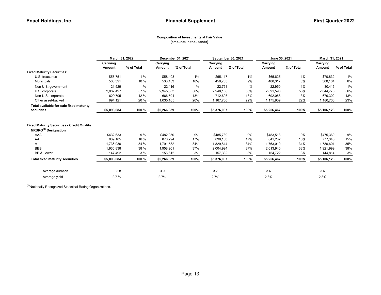#### Composition of Investments at Fair Value (amounts in thousands)

|                                                                                       | March 31, 2022 |            |             | December 31, 2021 |             | September 30, 2021 | June 30, 2021 |            | March 31, 2021 |            |  |
|---------------------------------------------------------------------------------------|----------------|------------|-------------|-------------------|-------------|--------------------|---------------|------------|----------------|------------|--|
|                                                                                       | Carrying       |            | Carrying    |                   | Carrying    |                    | Carrying      |            | Carrying       |            |  |
|                                                                                       | Amount         | % of Total | Amount      | % of Total        | Amount      | % of Total         | <b>Amount</b> | % of Total | Amount         | % of Total |  |
| <b>Fixed Maturity Securities:</b>                                                     |                |            |             |                   |             |                    |               |            |                |            |  |
| U.S. treasuries                                                                       | \$56,751       | 1%         | \$58,408    | 1%                | \$65,117    | 1%                 | \$65,625      | 1%         | \$70,832       | 1%         |  |
| Municipals                                                                            | 508,391        | 10 %       | 538,453     | 10%               | 459,783     | 9%                 | 408,317       | 8%         | 300,104        | 6%         |  |
| Non-U.S. government                                                                   | 21,529         | $-$ %      | 22,416      | $-$ %             | 22,758      | $-$ %              | 22,950        | 1%         | 30,415         | 1%         |  |
| U.S. corporate                                                                        | 2,882,497      | 57 %       | 2,945,303   | 56%               | 2,948,106   | 55%                | 2,891,598     | 55%        | 2,844,775      | 56%        |  |
| Non-U.S. corporate                                                                    | 629,795        | 12 %       | 666,594     | 13%               | 712,603     | 13%                | 692,068       | 13%        | 679,302        | 13%        |  |
| Other asset-backed                                                                    | 994,121        | 20 %       | 1,035,165   | 20%               | 1,167,700   | 22%                | 1,175,909     | 22%        | 1,180,700      | 23%        |  |
| Total available-for-sale fixed maturity                                               |                |            |             |                   |             |                    |               |            |                |            |  |
| securities                                                                            | \$5,093,084    | 100 %      | \$5,266,339 | 100%              | \$5,376,067 | 100%               | \$5,256,467   | 100%       | \$5,106,128    | 100%       |  |
| <b>Fixed Maturity Securities - Credit Quality</b><br>NRSRO <sup>(1)</sup> Designation |                |            |             |                   |             |                    |               |            |                |            |  |
| AAA                                                                                   | \$432,633      | 9 %        | \$482,950   | 9%                | \$485,739   | 9%                 | \$483,513     | 9%         | \$475,369      | 9%         |  |
| AA                                                                                    | 839,185        | 16 %       | 876,294     | 17%               | 898,158     | 17%                | 841,282       | 16%        | 777,345        | 15%        |  |
| Α                                                                                     | 1,736,936      | 34 %       | 1,791,582   | 34%               | 1,829,844   | 34%                | 1,763,010     | 34%        | 1,786,601      | 35%        |  |
| <b>BBB</b>                                                                            | 1,936,838      | 38 %       | 1,958,901   | 37%               | 2,004,994   | 37%                | 2,013,940     | 38%        | 1,921,999      | 38%        |  |
| <b>BB &amp; Lower</b>                                                                 | 147,492        | 3%         | 156,612     | 3%                | 157,332     | 3%                 | 154,722       | 3%         | 144,814        | 3%         |  |
| <b>Total fixed maturity securities</b>                                                | \$5,093,084    | 100 %      | \$5,266,339 | 100%              | \$5,376,067 | 100%               | \$5,256,467   | 100%       | \$5,106,128    | 100%       |  |
| Average duration                                                                      | 3.8            |            | 3.9         |                   | 3.7         |                    | 3.6           |            | 3.6            |            |  |
| Average yield                                                                         | 2.7%           |            | 2.7%        |                   | 2.7%        |                    | 2.8%          |            | 2.8%           |            |  |

 $(1)$ Nationally Recognized Statistical Rating Organizations.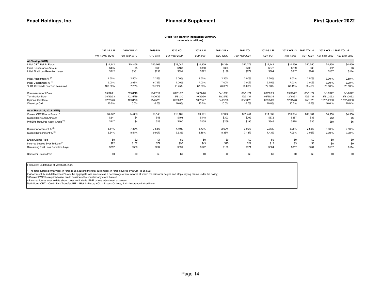#### (amounts in millions) Credit Risk Transfer Transaction Summary

|                                             | 2021-1 ILN        | 2019 XOL -2    | 2019 ILN  | 2020 XOL       | 2020 ILN  | 2021-2 ILN | 2021 XOL       | 2021-3 ILN    | 2022 XOL-3     | 2022 XOL-4 | 2022 XOL -1 2022 XOL -2 |                |
|---------------------------------------------|-------------------|----------------|-----------|----------------|-----------|------------|----------------|---------------|----------------|------------|-------------------------|----------------|
|                                             | 1/14-12/18, 40'19 | Full Year 2019 | 1/19-9/19 | Full Year 2020 | 1/20-8/20 | 9/20-12/20 | Full Year 2021 | $1/21 - 6/21$ | $7/21 - 12/21$ | 7/21-12/21 | Full Year 2022          | Full Year 2022 |
| At Closing (\$MM)                           |                   |                |           |                |           |            |                |               |                |            |                         |                |
| Initial CRT Risk In Force                   | \$14,142          | \$14,456       | \$10,563  | \$23,047       | \$14,909  | \$8,384    | \$22,373       | \$12,141      | \$10,550       | \$10,550   | \$4,550                 | \$4,550        |
| Initial Reinsurance Amount                  | \$495             | \$5            | \$303     | \$168          | \$350     | \$303      | \$206          | \$372         | \$289          | \$36       | \$52                    | \$6            |
| Initial First Loss Retention Layer          | \$212             | \$361          | \$238     | \$691          | \$522     | \$189      | \$671          | \$304         | \$317          | \$264      | \$137                   | \$114          |
| Initial Attachment % (2)                    | 1.50%             | 2.50%          | 2.25%     | 3.00%          | 3.50%     | 2.25%      | 3.00%          | 2.50%         | 3.00%          | 2.50%      | 3.00 %                  | 2.50 %         |
| Initial Detachment % (2)                    | 5.00%             | 2.98%          | 6.75%     | 7.00%          | 7.00%     | 7.00%      | 7.00%          | 6.75%         | 7.00%          | 3.00%      | 7.00 %                  | 3.00 %         |
| % Of Covered Loss Tier Reinsured            | 100.00%           | 7.25%          | 63.70%    | 18.25%         | 67.00%    | 76.00%     | 23.00%         | 72.00%        | 68.45%         | 68.45%     | 28.50 %                 | 28.50 %        |
| <b>Commencement Date</b>                    | 03/02/21          | 07/01/19       | 11/22/19  | 01/01/20       | 10/22/20  | 04/16/21   | 01/01/21       | 09/02/21      | 03/01/22       | 03/01/22   | 1/1/2022                | 1/1/2022       |
| <b>Termination Date</b>                     | 08/25/33          | 12/31/29       | 11/26/29  | 12/31/30       | 10/25/30  | 10/25/33   | 12/31/31       | 02/25/34      | 12/31/31       | 12/31/31   | 12/31/2032              | 12/31/2032     |
| <b>Optional Call Date</b>                   | 02/25/26          | 12/31/26       | 11/25/26  | 06/30/27       | 10/25/27  | 04/25/28   | 06/30/28       | 08/25/28      | 12/31/28       | 12/31/28   | 12/31/2030              | 12/31/2030     |
| Clean-Up Call                               | 10.0%             | 10.0%          | 10.0%     | 10.0%          | 10.0%     | 10.0%      | 10.0%          | 10.0%         | 10.0%          | 10.0%      | 10.0%                   | 10.0%          |
| As of March 31, 2022 (\$MM)                 |                   |                |           |                |           |            |                |               |                |            |                         |                |
| Current CRT Risk In Force (1)               | \$6,822           | \$4,883        | \$3,143   | \$16,489       | \$9,101   | \$7,002    | \$21,744       | \$11,036      | \$10,364       | \$10,364   | \$4,550                 | \$4,550        |
| <b>Current Reinsured Amount</b>             | \$241             | \$4            | \$48      | \$103          | \$148     | \$303      | \$202          | \$372         | \$287          | \$36       | \$52                    | \$6            |
| PMIERs Required Asset Credit <sup>(3)</sup> | \$217             | \$4            | \$29      | \$100          | \$105     | \$259      | \$195          | \$346         | \$278          | \$35       | \$50                    | \$6            |
| Current Attachment % (2)                    | 3.11%             | 7.37%          | 7.53%     | 4.19%          | 5.73%     | 2.69%      | 3.09%          | 2.75%         | 3.05%          | 2.55%      | 3.00 %                  | 2.50 %         |
| Current Detachment % (2)                    | 6.64%             | 8.51%          | 9.90%     | 7.63%          | 8.16%     | 8.38%      | 7.13%          | 7.43%         | 7.09%          | 3.05%      | 7.00 %                  | 3.00 %         |
| <b>Enact Claims Paid</b>                    | \$0               | \$2            | \$1       | \$0            | \$0       | \$0        | \$0            | \$0           | \$0            | \$0        | \$0                     | \$0            |
| Incurred Losses Ever To Date (4)            | \$22              | \$102          | \$72      | \$90           | \$43      | \$15       | \$21           | \$12          | \$3            | \$3        | \$0                     | \$0            |
| Remaining First Loss Retention Layer        | \$212             | \$360          | \$237     | \$691          | \$522     | \$189      | \$671          | \$304         | \$317          | \$264      | \$137                   | \$114          |
| Reinsurer Claims Paid                       | \$0               | \$0            | \$0       | \$0            | \$0       | \$0        | \$0            | \$0           | \$0            | \$0        | \$0                     | \$0            |

Footnotes: updated as of March 31, 2022

1 The total current primary risk in-force is \$58.3B and the total current risk in-force covered by a CRT is \$54.0B;

2 Attachment % and detachment % are the aggregate loss amounts as a percentage of risk in-force at which the reinsurer begins and stops paying claims under the policy;<br>3 Current PMIERs required asset credit considers the c

4 Incurred losses ever to date shown does not include IBNR or loss adjustment expenses;

Definitions: CRT = Credit Risk Transfer; RIF = Risk In-Force; XOL = Excess Of Loss; ILN = Insurance Linked Note